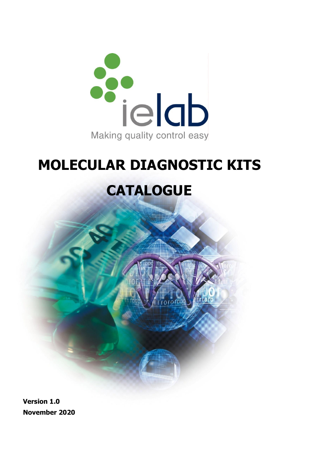

# **MOLECULAR DIAGNOSTIC KITS**

# **CATALOGUE**

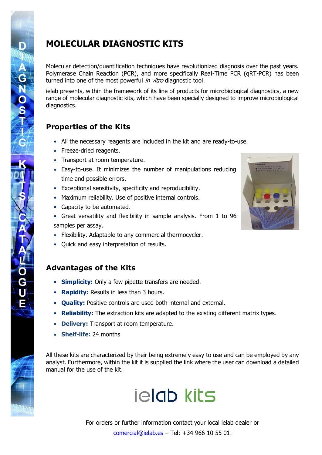## **MOLECULAR DIAGNOSTIC KITS**

Molecular detection/quantification techniques have revolutionized diagnosis over the past years. Polymerase Chain Reaction (PCR), and more specifically Real-Time PCR (qRT-PCR) has been turned into one of the most powerful *in vitro* diagnostic tool.

ielab presents, within the framework of its line of products for microbiological diagnostics, a new range of molecular diagnostic kits, which have been specially designed to improve microbiological diagnostics.

## **Properties of the Kits**

**AGNOSTIE** 

 $\overline{\textbf{O}}$  $\overline{\mathbf{G}}$ Ù Ě

- All the necessary reagents are included in the kit and are ready-to-use.
- Freeze-dried reagents.
- Transport at room temperature.
- Easy-to-use. It minimizes the number of manipulations reducing time and possible errors.
- Exceptional sensitivity, specificity and reproducibility.
- Maximum reliability. Use of positive internal controls.
- Capacity to be automated.
- Great versatility and flexibility in sample analysis. From 1 to 96 samples per assay.
- Flexibility. Adaptable to any commercial thermocycler.
- Quick and easy interpretation of results.

### **Advantages of the Kits**

- **Simplicity:** Only a few pipette transfers are needed.
- **Rapidity:** Results in less than 3 hours.
- **Quality:** Positive controls are used both internal and external.
- **Reliability:** The extraction kits are adapted to the existing different matrix types.
- **Delivery:** Transport at room temperature.
- **Shelf-life:** 24 months

All these kits are characterized by their being extremely easy to use and can be employed by any analyst. Furthermore, within the kit it is supplied the link where the user can download a detailed manual for the use of the kit.

# **jelab kits**

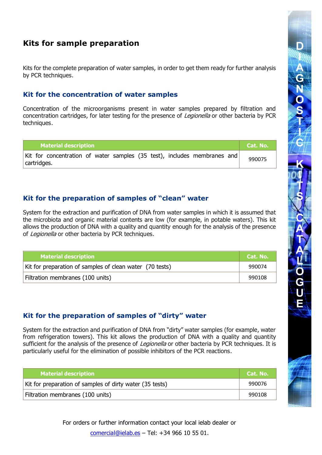## **Kits for sample preparation**

Kits for the complete preparation of water samples, in order to get them ready for further analysis by PCR techniques.

#### **Kit for the concentration of water samples**

Concentration of the microorganisms present in water samples prepared by filtration and concentration cartridges, for later testing for the presence of Legionella or other bacteria by PCR techniques.

| <b>Material description</b>                                                             | Cat. No. |
|-----------------------------------------------------------------------------------------|----------|
| Kit for concentration of water samples (35 test), includes membranes and<br>cartridges. | 990075   |

#### **Kit for the preparation of samples of "clean" water**

System for the extraction and purification of DNA from water samples in which it is assumed that the microbiota and organic material contents are low (for example, in potable waters). This kit allows the production of DNA with a quality and quantity enough for the analysis of the presence of Legionella or other bacteria by PCR techniques.

| <b>Material description</b>                              | Cat. No. |
|----------------------------------------------------------|----------|
| Kit for preparation of samples of clean water (70 tests) | 990074   |
| Filtration membranes (100 units)                         | 990108   |

#### **Kit for the preparation of samples of "dirty" water**

System for the extraction and purification of DNA from "dirty" water samples (for example, water from refrigeration towers). This kit allows the production of DNA with a quality and quantity sufficient for the analysis of the presence of *Legionella* or other bacteria by PCR techniques. It is particularly useful for the elimination of possible inhibitors of the PCR reactions.

| <b>Material description</b>                              | Cat. No. |
|----------------------------------------------------------|----------|
| Kit for preparation of samples of dirty water (35 tests) | 990076   |
| Filtration membranes (100 units)                         | 990108   |

For orders or further information contact your local ielab dealer or [comercial@ielab.es](mailto:comercial@ielab.es) – Tel: +34 966 10 55 01.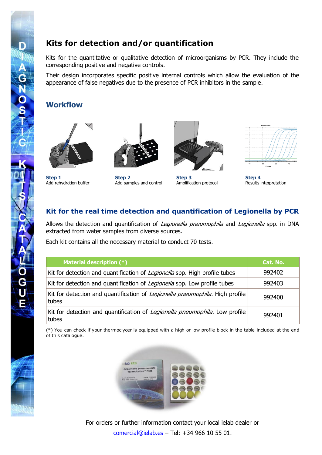## **Kits for detection and/or quantification**

Kits for the quantitative or qualitative detection of microorganisms by PCR. They include the corresponding positive and negative controls.

Their design incorporates specific positive internal controls which allow the evaluation of the appearance of false negatives due to the presence of PCR inhibitors in the sample.

#### **Workflow**





**Step 1 Step 2 Step 3 Step 4** Add rehydration buffer Add samples and control Amplification protocol Results interpretation





#### **Kit for the real time detection and quantification of Legionella by PCR**

Allows the detection and quantification of *Legionella pneumophila* and *Legionella* spp. in DNA extracted from water samples from diverse sources.

Each kit contains all the necessary material to conduct 70 tests.

| <b>Material description (*)</b>                                                               | Cat. No. |
|-----------------------------------------------------------------------------------------------|----------|
| Kit for detection and quantification of Legionella spp. High profile tubes                    | 992402   |
| Kit for detection and quantification of <i>Legionella</i> spp. Low profile tubes              | 992403   |
| Kit for detection and quantification of <i>Legionella pneumophila</i> . High profile<br>tubes | 992400   |
| Kit for detection and quantification of <i>Legionella pneumophila</i> . Low profile<br>tubes  | 992401   |

(\*) You can check if your thermoclycer is equipped with a high or low profile block in the table included at the end of this catalogue.



For orders or further information contact your local ielab dealer or [comercial@ielab.es](mailto:comercial@ielab.es) – Tel: +34 966 10 55 01.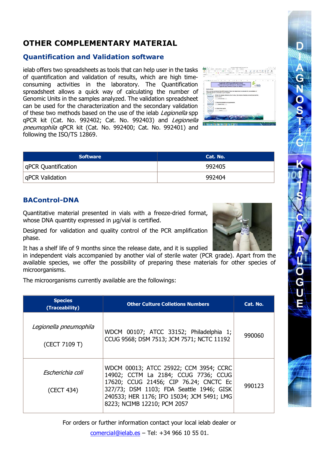## **OTHER COMPLEMENTARY MATERIAL**

#### **Quantification and Validation software**

ielab offers two spreadsheets as tools that can help user in the tasks of quantification and validation of results, which are high timeconsuming activities in the laboratory. The Quantification spreadsheet allows a quick way of calculating the number of Genomic Units in the samples analyzed. The validation spreadsheet can be used for the characterization and the secondary validation of these two methods based on the use of the ielab Legionella spp qPCR kit (Cat. No. 992402; Cat. No. 992403) and Legionella pneumophila qPCR kit (Cat. No. 992400; Cat. No. 992401) and following the ISO/TS 12869.

|                                                                                                     |                                        | Legionalia gPCR quantification sheet                                                                        |  | . . | ki. |  |  |  |  |  |
|-----------------------------------------------------------------------------------------------------|----------------------------------------|-------------------------------------------------------------------------------------------------------------|--|-----|-----|--|--|--|--|--|
|                                                                                                     |                                        | Legiscotte presumabile Detection Kit (Qut. No. 991030)<br>Legislaville app. Dataction Kit (Cat. No. 200343) |  |     |     |  |  |  |  |  |
|                                                                                                     |                                        |                                                                                                             |  |     |     |  |  |  |  |  |
| Instructions                                                                                        |                                        |                                                                                                             |  |     |     |  |  |  |  |  |
| Once you have performed the aPCR analysis, follow the steps below to calculate the concentration of |                                        |                                                                                                             |  |     |     |  |  |  |  |  |
| aporalis generals units (GU) in your semples:                                                       |                                        |                                                                                                             |  |     |     |  |  |  |  |  |
|                                                                                                     |                                        | 1.Enter the sample reference, the C voice, the volume of sample concertrated and the                        |  |     |     |  |  |  |  |  |
|                                                                                                     |                                        |                                                                                                             |  |     |     |  |  |  |  |  |
|                                                                                                     | dilution factor                        |                                                                                                             |  |     |     |  |  |  |  |  |
|                                                                                                     | Des Gewebst                            |                                                                                                             |  |     |     |  |  |  |  |  |
|                                                                                                     |                                        |                                                                                                             |  |     |     |  |  |  |  |  |
|                                                                                                     | 2. Enter the standard curve parameters |                                                                                                             |  |     |     |  |  |  |  |  |
|                                                                                                     | <b>Drawingd Came</b>                   |                                                                                                             |  |     |     |  |  |  |  |  |
|                                                                                                     |                                        |                                                                                                             |  |     |     |  |  |  |  |  |
| <b><i><u>Sangies</u></i></b> date<br><b>Gregoriani narysi</b>                                       | 3. Ontare final results                |                                                                                                             |  |     |     |  |  |  |  |  |

| <b>Software</b>            | Cat. No. |
|----------------------------|----------|
| <b>qPCR Quantification</b> | 992405   |
| <b>qPCR Validation</b>     | 992404   |

#### **BAControl-DNA**

Quantitative material presented in vials with a freeze-dried format, whose DNA quantity expressed in μg/vial is certified.

Designed for validation and quality control of the PCR amplification phase.

It has a shelf life of 9 months since the release date, and it is supplied

in independent vials accompanied by another vial of sterile water (PCR grade). Apart from the available species, we offer the possibility of preparing these materials for other species of microorganisms.

The microorganisms currently available are the followings:

| <b>Species</b><br>(Traceability)        | <b>Other Culture Colletions Numbers</b>                                                                                                                                                                                                           | Cat. No. |
|-----------------------------------------|---------------------------------------------------------------------------------------------------------------------------------------------------------------------------------------------------------------------------------------------------|----------|
| Legionella pneumophila<br>(CECT 7109 T) | WDCM 00107; ATCC 33152; Philadelphia 1;<br>CCUG 9568; DSM 7513; JCM 7571; NCTC 11192                                                                                                                                                              | 990060   |
| Escherichia coli<br>(CECT 434)          | WDCM 00013; ATCC 25922; CCM 3954; CCRC<br>14902; CCTM La 2184; CCUG 7736; CCUG<br>17620; CCUG 21456; CIP 76.24; CNCTC Ec<br>327/73; DSM 1103; FDA Seattle 1946; GISK<br>240533; HER 1176; IFO 15034; JCM 5491; LMG<br>8223; NCIMB 12210; PCM 2057 | 990123   |

For orders or further information contact your local ielab dealer or

[comercial@ielab.es](mailto:comercial@ielab.es) – Tel: +34 966 10 55 01.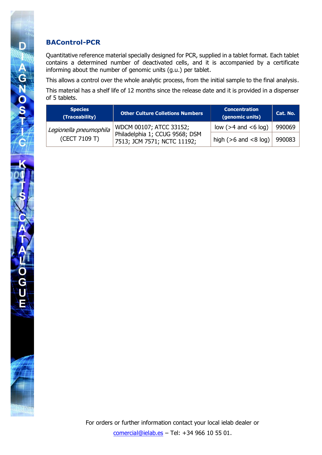#### **BAControl-PCR**

D

AGNOST

Quantitative reference material specially designed for PCR, supplied in a tablet format. Each tablet contains a determined number of deactivated cells, and it is accompanied by a certificate informing about the number of genomic units (g.u.) per tablet.

This allows a control over the whole analytic process, from the initial sample to the final analysis.

This material has a shelf life of 12 months since the release date and it is provided in a dispenser of 5 tablets.

| <b>Species</b><br>(Traceability) | <b>Other Culture Colletions Numbers</b>                       | <b>Concentration</b><br>(genomic units) | Cat. No. |
|----------------------------------|---------------------------------------------------------------|-----------------------------------------|----------|
| Legionella pneumophila           | WDCM 00107; ATCC 33152;                                       | low $(>4$ and $< 6$ log)                | 990069   |
| (CECT 7109 T)                    | Philadelphia 1; CCUG 9568; DSM<br>7513; JCM 7571; NCTC 11192; | high ( $>6$ and $<8$ log)               | 990083   |